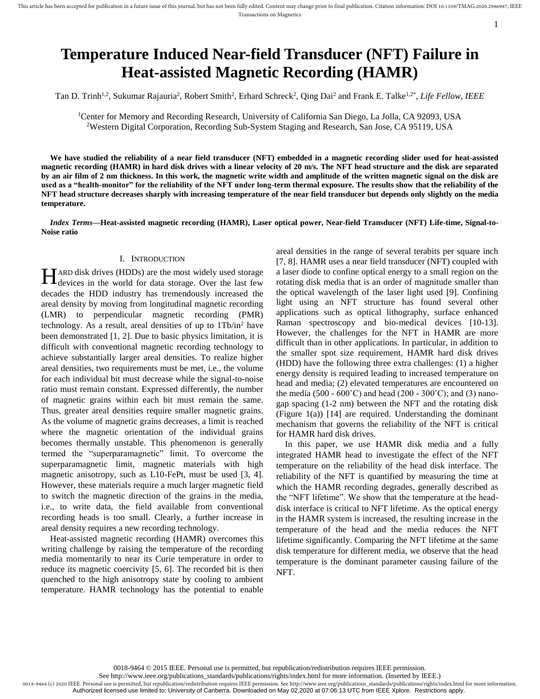# **Temperature Induced Near-field Transducer (NFT) Failure in Heat-assisted Magnetic Recording (HAMR)**

Tan D. Trinh<sup>1,2</sup>, Sukumar Rajauria<sup>2</sup>, Robert Smith<sup>2</sup>, Erhard Schreck<sup>2</sup>, Qing Dai<sup>2</sup> and Frank E. Talke<sup>1,2\*</sup>, *Life Fellow, IEEE* 

<sup>1</sup>Center for Memory and Recording Research, University of California San Diego, La Jolla, CA 92093, USA <sup>2</sup>Western Digital Corporation, Recording Sub-System Staging and Research, San Jose, CA 95119, USA

**We have studied the reliability of a near field transducer (NFT) embedded in a magnetic recording slider used for heat-assisted magnetic recording (HAMR) in hard disk drives with a linear velocity of 20 m/s. The NFT head structure and the disk are separated by an air film of 2 nm thickness. In this work, the magnetic write width and amplitude of the written magnetic signal on the disk are used as a "health-monitor" for the reliability of the NFT under long-term thermal exposure. The results show that the reliability of the NFT head structure decreases sharply with increasing temperature of the near field transducer but depends only slightly on the media temperature.** 

*Index Terms***—Heat-assisted magnetic recording (HAMR), Laser optical power, Near-field Transducer (NFT) Life-time, Signal-to-Noise ratio**

## I. INTRODUCTION

ARD disk drives (HDDs) are the most widely used storage HARD disk drives (HDDs) are the most widely used storage<br>devices in the world for data storage. Over the last few decades the HDD industry has tremendously increased the areal density by moving from longitudinal magnetic recording (LMR) to perpendicular magnetic recording (PMR) technology. As a result, areal densities of up to 1Tb/in<sup>2</sup> have been demonstrated [1, 2]. Due to basic physics limitation, it is difficult with conventional magnetic recording technology to achieve substantially larger areal densities. To realize higher areal densities, two requirements must be met, i.e., the volume for each individual bit must decrease while the signal-to-noise ratio must remain constant. Expressed differently, the number of magnetic grains within each bit must remain the same. Thus, greater areal densities require smaller magnetic grains. As the volume of magnetic grains decreases, a limit is reached where the magnetic orientation of the individual grains becomes thermally unstable. This phenomenon is generally termed the "superparamagnetic" limit. To overcome the superparamagnetic limit, magnetic materials with high magnetic anisotropy, such as L10-FePt, must be used [3, 4]. However, these materials require a much larger magnetic field to switch the magnetic direction of the grains in the media, i.e., to write data, the field available from conventional recording heads is too small. Clearly, a further increase in areal density requires a new recording technology.

Heat-assisted magnetic recording (HAMR) overcomes this writing challenge by raising the temperature of the recording media momentarily to near its Curie temperature in order to reduce its magnetic coercivity [5, 6]. The recorded bit is then quenched to the high anisotropy state by cooling to ambient temperature. HAMR technology has the potential to enable

areal densities in the range of several terabits per square inch [7, 8]. HAMR uses a near field transducer (NFT) coupled with a laser diode to confine optical energy to a small region on the rotating disk media that is an order of magnitude smaller than the optical wavelength of the laser light used [9]. Confining light using an NFT structure has found several other applications such as optical lithography, surface enhanced Raman spectroscopy and bio-medical devices [10-13]. However, the challenges for the NFT in HAMR are more difficult than in other applications. In particular, in addition to the smaller spot size requirement, HAMR hard disk drives (HDD) have the following three extra challenges: (1) a higher energy density is required leading to increased temperature on head and media; (2) elevated temperatures are encountered on the media (500 - 600°C) and head (200 - 300°C); and (3) nanogap spacing (1-2 nm) between the NFT and the rotating disk (Figure 1(a)) [14] are required. Understanding the dominant mechanism that governs the reliability of the NFT is critical for HAMR hard disk drives.

1

In this paper, we use HAMR disk media and a fully integrated HAMR head to investigate the effect of the NFT temperature on the reliability of the head disk interface. The reliability of the NFT is quantified by measuring the time at which the HAMR recording degrades, generally described as the "NFT lifetime". We show that the temperature at the headdisk interface is critical to NFT lifetime. As the optical energy in the HAMR system is increased, the resulting increase in the temperature of the head and the media reduces the NFT lifetime significantly. Comparing the NFT lifetime at the same disk temperature for different media, we observe that the head temperature is the dominant parameter causing failure of the NFT.

0018-9464 © 2015 IEEE. Personal use is permitted, but republication/redistribution requires IEEE permission.

See http://www.ieee.org/publications\_standards/publications/rights/index.html for more information. (Inserted by IEEE.)

0018-9464 (c) 2020 IEEE. Personal use is permitted, but republication/redistribution requires IEEE permission. See http://www.ieee.org/publications\_standards/publications/rights/index.html for more information. Authorized licensed use limited to: University of Canberra. Downloaded on May 02,2020 at 07:06:13 UTC from IEEE Xplore. Restrictions apply.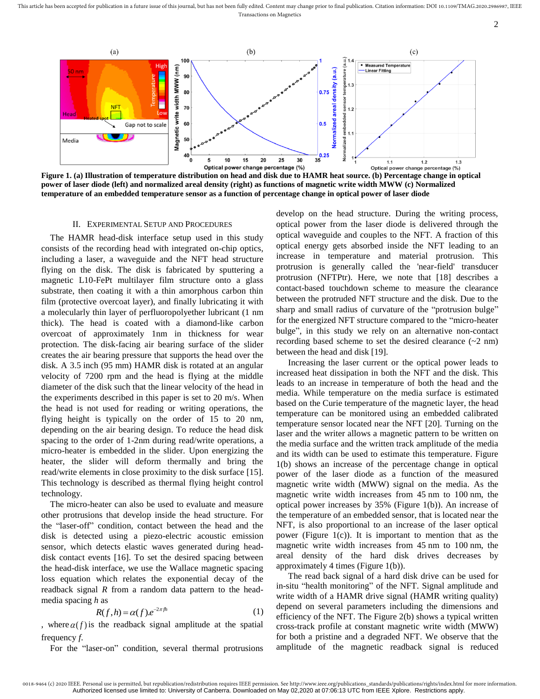This article has been accepted for publication in a future issue of this journal, but has not been fully edited. Content may change prior to final publication. Citation information: DOI 10.1109/TMAG.2020.2986987, IEEE Transactions on Magnetics



2



**Figure 1. (a) Illustration of temperature distribution on head and disk due to HAMR heat source. (b) Percentage change in optical power of laser diode (left) and normalized areal density (right) as functions of magnetic write width MWW (c) Normalized temperature of an embedded temperature sensor as a function of percentage change in optical power of laser diode**

## II. EXPERIMENTAL SETUP AND PROCEDURES

The HAMR head-disk interface setup used in this study consists of the recording head with integrated on-chip optics, including a laser, a waveguide and the NFT head structure flying on the disk. The disk is fabricated by sputtering a magnetic L10-FePt multilayer film structure onto a glass substrate, then coating it with a thin amorphous carbon thin film (protective overcoat layer), and finally lubricating it with a molecularly thin layer of perfluoropolyether lubricant (1 nm thick). The head is coated with a diamond-like carbon overcoat of approximately 1nm in thickness for wear protection. The disk-facing air bearing surface of the slider creates the air bearing pressure that supports the head over the disk. A 3.5 inch (95 mm) HAMR disk is rotated at an angular velocity of 7200 rpm and the head is flying at the middle diameter of the disk such that the linear velocity of the head in the experiments described in this paper is set to 20 m/s. When the head is not used for reading or writing operations, the flying height is typically on the order of 15 to 20 nm, depending on the air bearing design. To reduce the head disk spacing to the order of 1-2nm during read/write operations, a micro-heater is embedded in the slider. Upon energizing the heater, the slider will deform thermally and bring the read/write elements in close proximity to the disk surface [15]. This technology is described as thermal flying height control technology.

The micro-heater can also be used to evaluate and measure other protrusions that develop inside the head structure. For the "laser-off" condition, contact between the head and the disk is detected using a piezo-electric acoustic emission sensor, which detects elastic waves generated during headdisk contact events [16]. To set the desired spacing between the head-disk interface, we use the Wallace magnetic spacing loss equation which relates the exponential decay of the readback signal *R* from a random data pattern to the headmedia spacing *h* as

$$
R(f,h) = \alpha(f)e^{-2\pi fh} \tag{1}
$$

, where  $\alpha(f)$  is the readback signal amplitude at the spatial frequency *f*.

For the "laser-on" condition, several thermal protrusions

develop on the head structure. During the writing process, optical power from the laser diode is delivered through the optical waveguide and couples to the NFT. A fraction of this optical energy gets absorbed inside the NFT leading to an increase in temperature and material protrusion. This protrusion is generally called the 'near-field' transducer protrusion (NFTPtr). Here, we note that [18] describes a contact-based touchdown scheme to measure the clearance between the protruded NFT structure and the disk. Due to the sharp and small radius of curvature of the "protrusion bulge" for the energized NFT structure compared to the "micro-heater bulge", in this study we rely on an alternative non-contact recording based scheme to set the desired clearance  $(\sim 2 \text{ nm})$ between the head and disk [19].

Increasing the laser current or the optical power leads to increased heat dissipation in both the NFT and the disk. This leads to an increase in temperature of both the head and the media. While temperature on the media surface is estimated based on the Curie temperature of the magnetic layer, the head temperature can be monitored using an embedded calibrated temperature sensor located near the NFT [20]. Turning on the laser and the writer allows a magnetic pattern to be written on the media surface and the written track amplitude of the media and its width can be used to estimate this temperature. Figure 1(b) shows an increase of the percentage change in optical power of the laser diode as a function of the measured magnetic write width (MWW) signal on the media. As the magnetic write width increases from 45 nm to 100 nm, the optical power increases by 35% (Figure 1(b)). An increase of the temperature of an embedded sensor, that is located near the NFT, is also proportional to an increase of the laser optical power (Figure  $1(c)$ ). It is important to mention that as the magnetic write width increases from 45 nm to 100 nm, the areal density of the hard disk drives decreases by approximately 4 times (Figure 1(b)).

The read back signal of a hard disk drive can be used for in-situ "health monitoring" of the NFT. Signal amplitude and write width of a HAMR drive signal (HAMR writing quality) depend on several parameters including the dimensions and efficiency of the NFT. The Figure 2(b) shows a typical written cross-track profile at constant magnetic write width (MWW) for both a pristine and a degraded NFT. We observe that the amplitude of the magnetic readback signal is reduced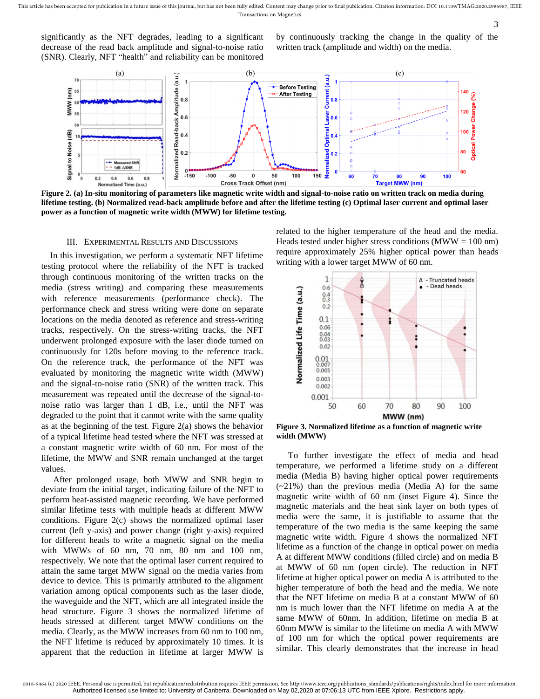significantly as the NFT degrades, leading to a significant decrease of the read back amplitude and signal-to-noise ratio (SNR). Clearly, NFT "health" and reliability can be monitored

by continuously tracking the change in the quality of the written track (amplitude and width) on the media.

3



**Figure 2. (a) In-situ monitoring of parameters like magnetic write width and signal-to-noise ratio on written track on media during lifetime testing. (b) Normalized read-back amplitude before and after the lifetime testing (c) Optimal laser current and optimal laser power as a function of magnetic write width (MWW) for lifetime testing.**

### III. EXPERIMENTAL RESULTS AND DISCUSSIONS

In this investigation, we perform a systematic NFT lifetime testing protocol where the reliability of the NFT is tracked through continuous monitoring of the written tracks on the media (stress writing) and comparing these measurements with reference measurements (performance check). The performance check and stress writing were done on separate locations on the media denoted as reference and stress-writing tracks, respectively. On the stress-writing tracks, the NFT underwent prolonged exposure with the laser diode turned on continuously for 120s before moving to the reference track. On the reference track, the performance of the NFT was evaluated by monitoring the magnetic write width (MWW) and the signal-to-noise ratio (SNR) of the written track. This measurement was repeated until the decrease of the signal-tonoise ratio was larger than 1 dB, i.e., until the NFT was degraded to the point that it cannot write with the same quality as at the beginning of the test. Figure 2(a) shows the behavior of a typical lifetime head tested where the NFT was stressed at a constant magnetic write width of 60 nm. For most of the lifetime, the MWW and SNR remain unchanged at the target values.

After prolonged usage, both MWW and SNR begin to deviate from the initial target, indicating failure of the NFT to perform heat-assisted magnetic recording. We have performed similar lifetime tests with multiple heads at different MWW conditions. Figure 2(c) shows the normalized optimal laser current (left y-axis) and power change (right y-axis) required for different heads to write a magnetic signal on the media with MWWs of 60 nm, 70 nm, 80 nm and 100 nm, respectively. We note that the optimal laser current required to attain the same target MWW signal on the media varies from device to device. This is primarily attributed to the alignment variation among optical components such as the laser diode, the waveguide and the NFT, which are all integrated inside the head structure. Figure 3 shows the normalized lifetime of heads stressed at different target MWW conditions on the media. Clearly, as the MWW increases from 60 nm to 100 nm, the NFT lifetime is reduced by approximately 10 times. It is apparent that the reduction in lifetime at larger MWW is

related to the higher temperature of the head and the media. Heads tested under higher stress conditions ( $MWW = 100$  nm) require approximately 25% higher optical power than heads writing with a lower target MWW of 60 nm.



**Figure 3. Normalized lifetime as a function of magnetic write width (MWW)**

To further investigate the effect of media and head temperature, we performed a lifetime study on a different media (Media B) having higher optical power requirements  $(-21%)$  than the previous media (Media A) for the same magnetic write width of 60 nm (inset Figure 4). Since the magnetic materials and the heat sink layer on both types of media were the same, it is justifiable to assume that the temperature of the two media is the same keeping the same magnetic write width. Figure 4 shows the normalized NFT lifetime as a function of the change in optical power on media A at different MWW conditions (filled circle) and on media B at MWW of 60 nm (open circle). The reduction in NFT lifetime at higher optical power on media A is attributed to the higher temperature of both the head and the media. We note that the NFT lifetime on media B at a constant MWW of 60 nm is much lower than the NFT lifetime on media A at the same MWW of 60nm. In addition, lifetime on media B at 60nm MWW is similar to the lifetime on media A with MWW of 100 nm for which the optical power requirements are similar. This clearly demonstrates that the increase in head